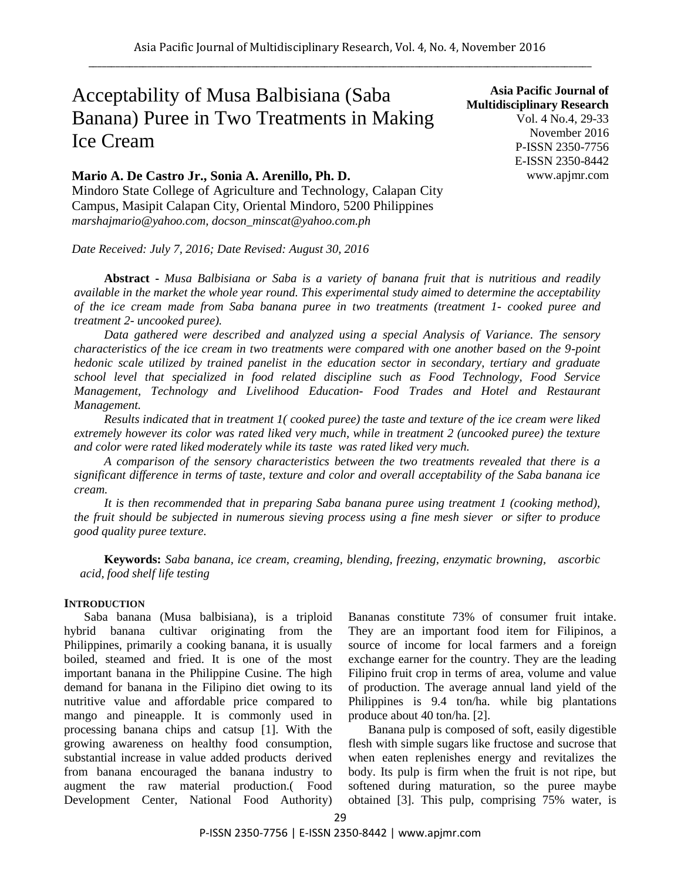# Acceptability of Musa Balbisiana (Saba Banana) Puree in Two Treatments in Making Ice Cream

### **Mario A. De Castro Jr., Sonia A. Arenillo, Ph. D.**

Mindoro State College of Agriculture and Technology, Calapan City Campus, Masipit Calapan City, Oriental Mindoro, 5200 Philippines *marshajmario@yahoo.com, docson\_minscat@yahoo.com.ph*

*Date Received: July 7, 2016; Date Revised: August 30, 2016*

**Abstract -** *Musa Balbisiana or Saba is a variety of banana fruit that is nutritious and readily available in the market the whole year round. This experimental study aimed to determine the acceptability of the ice cream made from Saba banana puree in two treatments (treatment 1- cooked puree and treatment 2- uncooked puree).* 

*Data gathered were described and analyzed using a special Analysis of Variance. The sensory characteristics of the ice cream in two treatments were compared with one another based on the 9-point hedonic scale utilized by trained panelist in the education sector in secondary, tertiary and graduate school level that specialized in food related discipline such as Food Technology, Food Service Management, Technology and Livelihood Education- Food Trades and Hotel and Restaurant Management.*

*Results indicated that in treatment 1( cooked puree) the taste and texture of the ice cream were liked extremely however its color was rated liked very much, while in treatment 2 (uncooked puree) the texture and color were rated liked moderately while its taste was rated liked very much.*

*A comparison of the sensory characteristics between the two treatments revealed that there is a significant difference in terms of taste, texture and color and overall acceptability of the Saba banana ice cream.*

*It is then recommended that in preparing Saba banana puree using treatment 1 (cooking method), the fruit should be subjected in numerous sieving process using a fine mesh siever or sifter to produce good quality puree texture.*

**Keywords:** *Saba banana, ice cream, creaming, blending, freezing, enzymatic browning, ascorbic acid, food shelf life testing*

#### **INTRODUCTION**

Saba banana (Musa balbisiana), is a triploid hybrid banana cultivar originating from the Philippines, primarily a cooking banana, it is usually boiled, steamed and fried. It is one of the most important banana in the Philippine Cusine. The high demand for banana in the Filipino diet owing to its nutritive value and affordable price compared to mango and pineapple. It is commonly used in processing banana chips and catsup [1]. With the growing awareness on healthy food consumption, substantial increase in value added products derived from banana encouraged the banana industry to augment the raw material production.( Food Development Center, National Food Authority)

Bananas constitute 73% of consumer fruit intake. They are an important food item for Filipinos, a source of income for local farmers and a foreign exchange earner for the country. They are the leading Filipino fruit crop in terms of area, volume and value of production. The average annual land yield of the Philippines is 9.4 ton/ha. while big plantations produce about 40 ton/ha. [2].

Banana pulp is composed of soft, easily digestible flesh with simple sugars like fructose and sucrose that when eaten replenishes energy and revitalizes the body. Its pulp is firm when the fruit is not ripe, but softened during maturation, so the puree maybe obtained [3]. This pulp, comprising 75% water, is

**Asia Pacific Journal of Multidisciplinary Research** Vol. 4 No.4, 29-33 November 2016 P-ISSN 2350-7756 E-ISSN 2350-8442 www.apjmr.com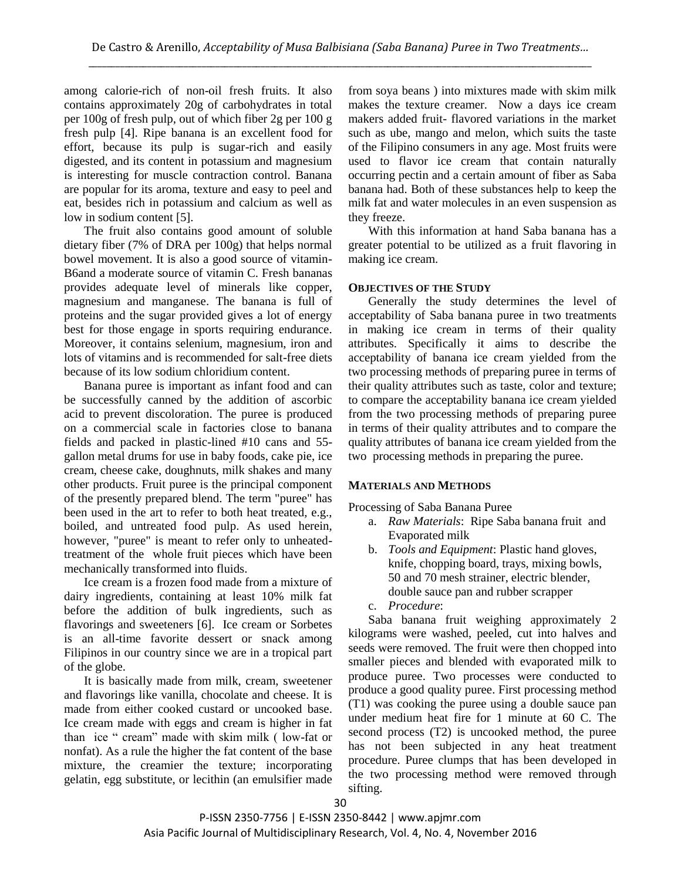among calorie-rich of non-oil fresh fruits. It also contains approximately 20g of carbohydrates in total per 100g of fresh pulp, out of which fiber 2g per 100 g fresh pulp [4]. Ripe banana is an excellent food for effort, because its pulp is sugar-rich and easily digested, and its content in potassium and magnesium is interesting for muscle contraction control. Banana are popular for its aroma, texture and easy to peel and eat, besides rich in potassium and calcium as well as low in sodium content [5].

The fruit also contains good amount of soluble dietary fiber (7% of DRA per 100g) that helps normal bowel movement. It is also a good source of vitamin-B6and a moderate source of vitamin C. Fresh bananas provides adequate level of minerals like copper, magnesium and manganese. The banana is full of proteins and the sugar provided gives a lot of energy best for those engage in sports requiring endurance. Moreover, it contains selenium, magnesium, iron and lots of vitamins and is recommended for salt-free diets because of its low sodium chloridium content.

Banana puree is important as infant food and can be successfully canned by the addition of ascorbic acid to prevent discoloration. The puree is produced on a commercial scale in factories close to banana fields and packed in plastic-lined #10 cans and 55 gallon metal drums for use in baby foods, cake pie, ice cream, cheese cake, doughnuts, milk shakes and many other products. Fruit puree is the principal component of the presently prepared blend. The term "puree" has been used in the art to refer to both heat treated, e.g., boiled, and untreated food pulp. As used herein, however, "puree" is meant to refer only to unheatedtreatment of the whole fruit pieces which have been mechanically transformed into fluids.

Ice cream is a frozen food made from a mixture of dairy ingredients, containing at least 10% milk fat before the addition of bulk ingredients, such as flavorings and sweeteners [6]. Ice cream or Sorbetes is an all-time favorite dessert or snack among Filipinos in our country since we are in a tropical part of the globe.

It is basically made from milk, cream, sweetener and flavorings like vanilla, chocolate and cheese. It is made from either cooked custard or uncooked base. Ice cream made with eggs and cream is higher in fat than ice " cream" made with skim milk ( low-fat or nonfat). As a rule the higher the fat content of the base mixture, the creamier the texture; incorporating gelatin, egg substitute, or lecithin (an emulsifier made from soya beans ) into mixtures made with skim milk makes the texture creamer. Now a days ice cream makers added fruit- flavored variations in the market such as ube, mango and melon, which suits the taste of the Filipino consumers in any age. Most fruits were used to flavor ice cream that contain naturally occurring pectin and a certain amount of fiber as Saba banana had. Both of these substances help to keep the milk fat and water molecules in an even suspension as they freeze.

With this information at hand Saba banana has a greater potential to be utilized as a fruit flavoring in making ice cream.

## **OBJECTIVES OF THE STUDY**

Generally the study determines the level of acceptability of Saba banana puree in two treatments in making ice cream in terms of their quality attributes. Specifically it aims to describe the acceptability of banana ice cream yielded from the two processing methods of preparing puree in terms of their quality attributes such as taste, color and texture; to compare the acceptability banana ice cream yielded from the two processing methods of preparing puree in terms of their quality attributes and to compare the quality attributes of banana ice cream yielded from the two processing methods in preparing the puree.

## **MATERIALS AND METHODS**

Processing of Saba Banana Puree

- a. *Raw Materials*: Ripe Saba banana fruit and Evaporated milk
- b. *Tools and Equipment*: Plastic hand gloves, knife, chopping board, trays, mixing bowls, 50 and 70 mesh strainer, electric blender, double sauce pan and rubber scrapper
- c. *Procedure*:

Saba banana fruit weighing approximately 2 kilograms were washed, peeled, cut into halves and seeds were removed. The fruit were then chopped into smaller pieces and blended with evaporated milk to produce puree. Two processes were conducted to produce a good quality puree. First processing method (T1) was cooking the puree using a double sauce pan under medium heat fire for 1 minute at 60 C. The second process (T2) is uncooked method, the puree has not been subjected in any heat treatment procedure. Puree clumps that has been developed in the two processing method were removed through sifting.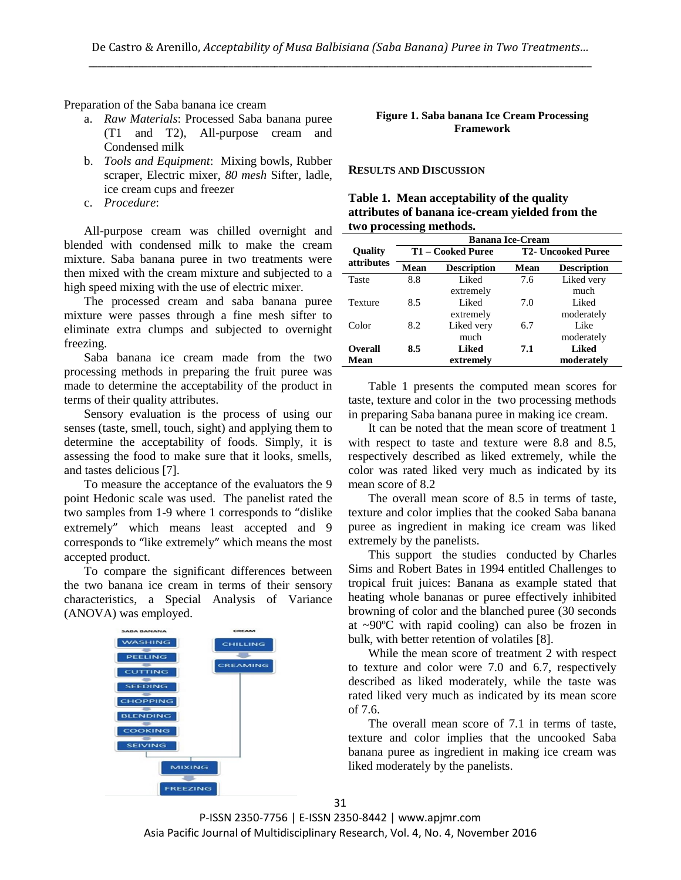Preparation of the Saba banana ice cream

- a. *Raw Materials*: Processed Saba banana puree (T1 and T2), All-purpose cream and Condensed milk
- b. *Tools and Equipment*: Mixing bowls, Rubber scraper, Electric mixer, *80 mesh* Sifter, ladle, ice cream cups and freezer
- c. *Procedure*:

All-purpose cream was chilled overnight and blended with condensed milk to make the cream mixture. Saba banana puree in two treatments were then mixed with the cream mixture and subjected to a  $$ high speed mixing with the use of electric mixer.

The processed cream and saba banana puree mixture were passes through a fine mesh sifter to eliminate extra clumps and subjected to overnight freezing.

Saba banana ice cream made from the two processing methods in preparing the fruit puree was made to determine the acceptability of the product in terms of their quality attributes.

Sensory evaluation is the process of using our senses (taste, smell, touch, sight) and applying them to determine the acceptability of foods. Simply, it is assessing the food to make sure that it looks, smells, and tastes delicious [7].

To measure the acceptance of the evaluators the 9 point Hedonic scale was used. The panelist rated the two samples from 1-9 where 1 corresponds to "dislike extremely" which means least accepted and 9 corresponds to "like extremely" which means the most accepted product.

To compare the significant differences between the two banana ice cream in terms of their sensory characteristics, a Special Analysis of Variance (ANOVA) was employed.



#### **Figure 1. Saba banana Ice Cream Processing Framework**

#### **RESULTS AND DISCUSSION**

| Table 1. Mean acceptability of the quality      |  |
|-------------------------------------------------|--|
| attributes of banana ice-cream yielded from the |  |
| two processing methods.                         |  |

|                | <b>Banana Ice-Cream</b> |                    |                           |                    |  |  |  |
|----------------|-------------------------|--------------------|---------------------------|--------------------|--|--|--|
| <b>Quality</b> |                         | T1 – Cooked Puree  | <b>T2- Uncooked Puree</b> |                    |  |  |  |
| attributes     | Mean                    | <b>Description</b> | Mean                      | <b>Description</b> |  |  |  |
| Taste          | 8.8                     | Liked              | 7.6                       | Liked very         |  |  |  |
|                |                         | extremely          |                           | much               |  |  |  |
| Texture        | 8.5                     | Liked              | 7.0                       | Liked              |  |  |  |
|                |                         | extremely          |                           | moderately         |  |  |  |
| Color          | 8.2                     | Liked very         | 6.7                       | Like               |  |  |  |
|                |                         | much               |                           | moderately         |  |  |  |
| <b>Overall</b> | 8.5                     | <b>Liked</b>       | 7.1                       | Liked              |  |  |  |
| <b>Mean</b>    |                         | extremely          |                           | moderately         |  |  |  |

Table 1 presents the computed mean scores for taste, texture and color in the two processing methods in preparing Saba banana puree in making ice cream.

It can be noted that the mean score of treatment 1 with respect to taste and texture were 8.8 and 8.5, respectively described as liked extremely, while the color was rated liked very much as indicated by its mean score of 8.2

The overall mean score of 8.5 in terms of taste, texture and color implies that the cooked Saba banana puree as ingredient in making ice cream was liked extremely by the panelists.

This support the studies conducted by Charles Sims and Robert Bates in 1994 entitled Challenges to tropical fruit juices: Banana as example stated that heating whole bananas or puree effectively inhibited browning of color and the blanched puree (30 seconds at ~90ºC with rapid cooling) can also be frozen in bulk, with better retention of volatiles [8].

While the mean score of treatment 2 with respect to texture and color were 7.0 and 6.7, respectively described as liked moderately, while the taste was rated liked very much as indicated by its mean score of 7.6.

The overall mean score of 7.1 in terms of taste, texture and color implies that the uncooked Saba banana puree as ingredient in making ice cream was liked moderately by the panelists.

31 P-ISSN 2350-7756 | E-ISSN 2350-8442 | www.apjmr.com

Asia Pacific Journal of Multidisciplinary Research, Vol. 4, No. 4, November 2016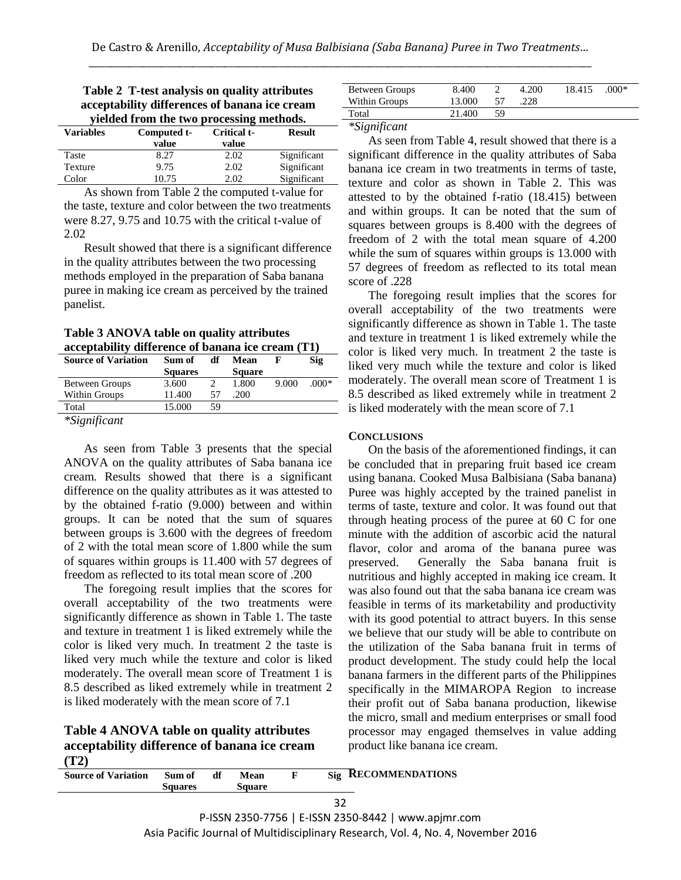| acceptability differences of banana ice cream |             |             |               |  |  |  |  |
|-----------------------------------------------|-------------|-------------|---------------|--|--|--|--|
| yielded from the two processing methods.      |             |             |               |  |  |  |  |
| <b>Variables</b>                              | Computed t- | Critical t- | <b>Result</b> |  |  |  |  |
|                                               | value       | value       |               |  |  |  |  |
| Taste                                         | 8.27        | 2.02        | Significant   |  |  |  |  |
| Texture                                       | 9.75        | 2.02        | Significant   |  |  |  |  |

Color 10.75 2.02 Significant

| Table 2 T-test analysis on quality attributes |  |
|-----------------------------------------------|--|
| acceptability differences of banana ice cream |  |
| vielded from the two processing methods.      |  |

As shown from Table 2 the computed t-value for the taste, texture and color between the two treatments were 8.27, 9.75 and 10.75 with the critical t-value of 2.02

Result showed that there is a significant difference in the quality attributes between the two processing methods employed in the preparation of Saba banana puree in making ice cream as perceived by the trained panelist.

**Table 3 ANOVA table on quality attributes acceptability difference of banana ice cream (T1)**

| <b>Source of Variation</b> | Sum of         | df | Mean          |       | Sig     |
|----------------------------|----------------|----|---------------|-------|---------|
|                            | <b>Squares</b> |    | <b>Square</b> |       |         |
| Between Groups             | 3.600          |    | 1.800         | 9.000 | $.000*$ |
| Within Groups              | 11.400         | 57 | .200          |       |         |
| Total                      | 15.000         | 59 |               |       |         |
|                            |                |    |               |       |         |

*\*Significant*

As seen from Table 3 presents that the special ANOVA on the quality attributes of Saba banana ice cream. Results showed that there is a significant difference on the quality attributes as it was attested to by the obtained f-ratio (9.000) between and within groups. It can be noted that the sum of squares between groups is 3.600 with the degrees of freedom of 2 with the total mean score of 1.800 while the sum of squares within groups is 11.400 with 57 degrees of freedom as reflected to its total mean score of .200

The foregoing result implies that the scores for overall acceptability of the two treatments were significantly difference as shown in Table 1. The taste and texture in treatment 1 is liked extremely while the color is liked very much. In treatment 2 the taste is liked very much while the texture and color is liked moderately. The overall mean score of Treatment 1 is 8.5 described as liked extremely while in treatment 2 is liked moderately with the mean score of 7.1

**Table 4 ANOVA table on quality attributes acceptability difference of banana ice cream (T2)**

| Between Groups<br>Within Groups | 8.400<br>13.000 |    | 4.200<br>.228 | 18.415 | $.000*$ |  |
|---------------------------------|-----------------|----|---------------|--------|---------|--|
| Total                           | 21.400          | 59 |               |        |         |  |

*\*Significant*

As seen from Table 4, result showed that there is a significant difference in the quality attributes of Saba banana ice cream in two treatments in terms of taste, texture and color as shown in Table 2. This was attested to by the obtained f-ratio (18.415) between and within groups. It can be noted that the sum of squares between groups is 8.400 with the degrees of freedom of 2 with the total mean square of 4.200 while the sum of squares within groups is 13.000 with 57 degrees of freedom as reflected to its total mean score of .228

The foregoing result implies that the scores for overall acceptability of the two treatments were significantly difference as shown in Table 1. The taste and texture in treatment 1 is liked extremely while the color is liked very much. In treatment 2 the taste is liked very much while the texture and color is liked moderately. The overall mean score of Treatment 1 is 8.5 described as liked extremely while in treatment 2 is liked moderately with the mean score of 7.1

## **CONCLUSIONS**

On the basis of the aforementioned findings, it can be concluded that in preparing fruit based ice cream using banana. Cooked Musa Balbisiana (Saba banana) Puree was highly accepted by the trained panelist in terms of taste, texture and color. It was found out that through heating process of the puree at 60 C for one minute with the addition of ascorbic acid the natural flavor, color and aroma of the banana puree was preserved. Generally the Saba banana fruit is nutritious and highly accepted in making ice cream. It was also found out that the saba banana ice cream was feasible in terms of its marketability and productivity with its good potential to attract buyers. In this sense we believe that our study will be able to contribute on the utilization of the Saba banana fruit in terms of product development. The study could help the local banana farmers in the different parts of the Philippines specifically in the MIMAROPA Region to increase their profit out of Saba banana production, likewise the micro, small and medium enterprises or small food processor may engaged themselves in value adding product like banana ice cream.

| Source of Variation Sum of | <b>Squares</b> | df | Mean<br>Square | Sig RECOMMENDATIONS |
|----------------------------|----------------|----|----------------|---------------------|
|                            |                |    |                | 32                  |

P-ISSN 2350-7756 | E-ISSN 2350-8442 | www.apjmr.com Asia Pacific Journal of Multidisciplinary Research, Vol. 4, No. 4, November 2016